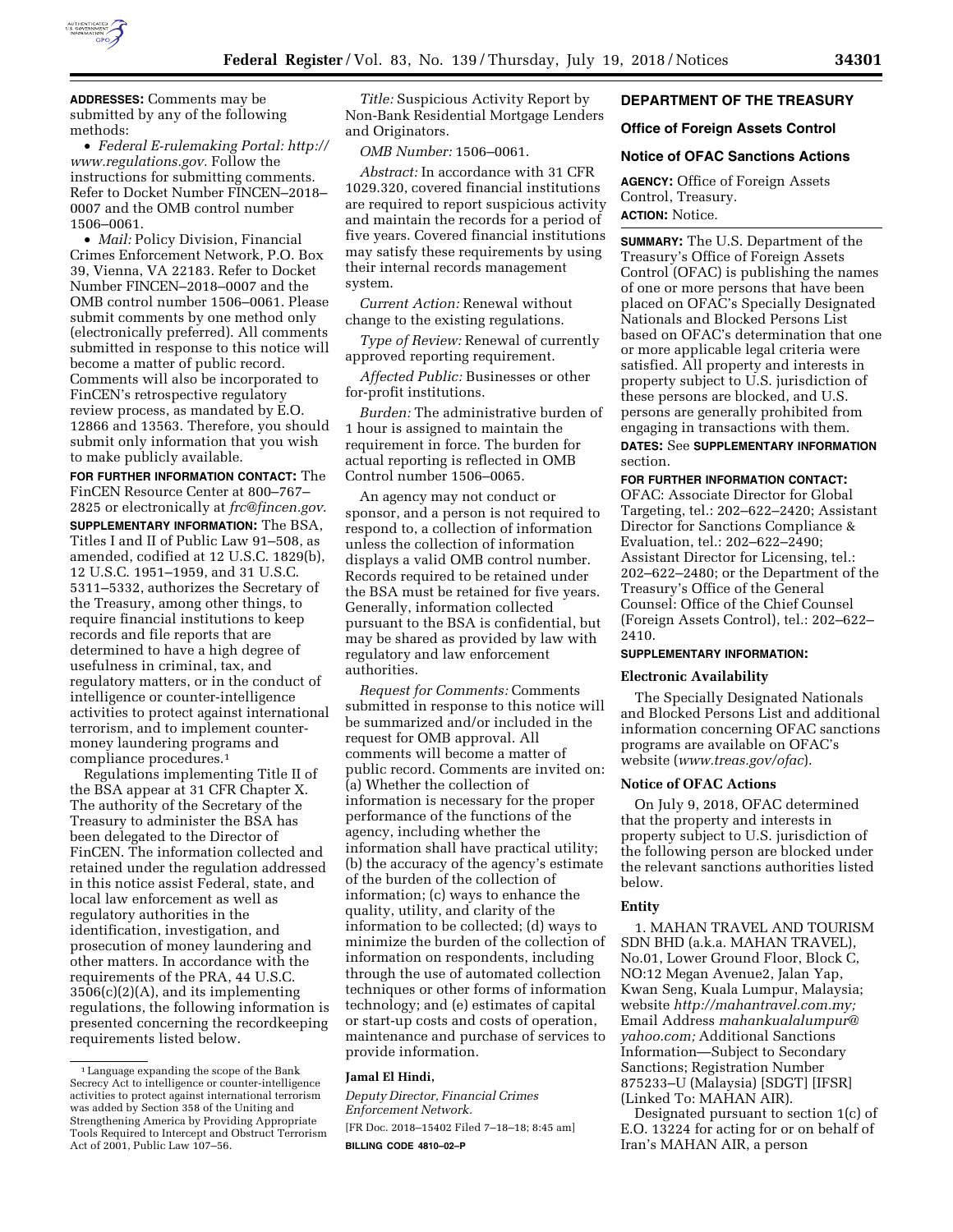

**ADDRESSES:** Comments may be submitted by any of the following methods:

• *Federal E-rulemaking Portal: [http://](http://www.regulations.gov) [www.regulations.gov.](http://www.regulations.gov)* Follow the instructions for submitting comments. Refer to Docket Number FINCEN–2018– 0007 and the OMB control number 1506–0061.

• *Mail:* Policy Division, Financial Crimes Enforcement Network, P.O. Box 39, Vienna, VA 22183. Refer to Docket Number FINCEN–2018–0007 and the OMB control number 1506–0061. Please submit comments by one method only (electronically preferred). All comments submitted in response to this notice will become a matter of public record. Comments will also be incorporated to FinCEN's retrospective regulatory review process, as mandated by E.O. 12866 and 13563. Therefore, you should submit only information that you wish to make publicly available.

**FOR FURTHER INFORMATION CONTACT:** The FinCEN Resource Center at 800–767– 2825 or electronically at *[frc@fincen.gov](mailto:frc@fincen.gov)*. **SUPPLEMENTARY INFORMATION:** The BSA, Titles I and II of Public Law 91–508, as amended, codified at 12 U.S.C. 1829(b), 12 U.S.C. 1951–1959, and 31 U.S.C. 5311–5332, authorizes the Secretary of the Treasury, among other things, to require financial institutions to keep records and file reports that are determined to have a high degree of usefulness in criminal, tax, and regulatory matters, or in the conduct of intelligence or counter-intelligence activities to protect against international terrorism, and to implement countermoney laundering programs and compliance procedures.1

Regulations implementing Title II of the BSA appear at 31 CFR Chapter X. The authority of the Secretary of the Treasury to administer the BSA has been delegated to the Director of FinCEN. The information collected and retained under the regulation addressed in this notice assist Federal, state, and local law enforcement as well as regulatory authorities in the identification, investigation, and prosecution of money laundering and other matters. In accordance with the requirements of the PRA, 44 U.S.C. 3506(c)(2)(A), and its implementing regulations, the following information is presented concerning the recordkeeping requirements listed below.

*Title:* Suspicious Activity Report by Non-Bank Residential Mortgage Lenders and Originators.

*OMB Number:* 1506–0061.

*Abstract:* In accordance with 31 CFR 1029.320, covered financial institutions are required to report suspicious activity and maintain the records for a period of five years. Covered financial institutions may satisfy these requirements by using their internal records management system.

*Current Action:* Renewal without change to the existing regulations.

*Type of Review:* Renewal of currently approved reporting requirement.

*Affected Public:* Businesses or other for-profit institutions.

*Burden:* The administrative burden of 1 hour is assigned to maintain the requirement in force. The burden for actual reporting is reflected in OMB Control number 1506–0065.

An agency may not conduct or sponsor, and a person is not required to respond to, a collection of information unless the collection of information displays a valid OMB control number. Records required to be retained under the BSA must be retained for five years. Generally, information collected pursuant to the BSA is confidential, but may be shared as provided by law with regulatory and law enforcement authorities.

*Request for Comments:* Comments submitted in response to this notice will be summarized and/or included in the request for OMB approval. All comments will become a matter of public record. Comments are invited on: (a) Whether the collection of information is necessary for the proper performance of the functions of the agency, including whether the information shall have practical utility; (b) the accuracy of the agency's estimate of the burden of the collection of information; (c) ways to enhance the quality, utility, and clarity of the information to be collected; (d) ways to minimize the burden of the collection of information on respondents, including through the use of automated collection techniques or other forms of information technology; and (e) estimates of capital or start-up costs and costs of operation, maintenance and purchase of services to provide information.

## **Jamal El Hindi,**

*Deputy Director, Financial Crimes Enforcement Network.* 

[FR Doc. 2018–15402 Filed 7–18–18; 8:45 am] **BILLING CODE 4810–02–P** 

## **DEPARTMENT OF THE TREASURY**

## **Office of Foreign Assets Control**

### **Notice of OFAC Sanctions Actions**

**AGENCY:** Office of Foreign Assets Control, Treasury. **ACTION:** Notice.

**SUMMARY:** The U.S. Department of the Treasury's Office of Foreign Assets Control (OFAC) is publishing the names of one or more persons that have been placed on OFAC's Specially Designated Nationals and Blocked Persons List based on OFAC's determination that one or more applicable legal criteria were satisfied. All property and interests in property subject to U.S. jurisdiction of these persons are blocked, and U.S. persons are generally prohibited from engaging in transactions with them. **DATES:** See **SUPPLEMENTARY INFORMATION** section.

#### **FOR FURTHER INFORMATION CONTACT:**

OFAC: Associate Director for Global Targeting, tel.: 202–622–2420; Assistant Director for Sanctions Compliance & Evaluation, tel.: 202–622–2490; Assistant Director for Licensing, tel.: 202–622–2480; or the Department of the Treasury's Office of the General Counsel: Office of the Chief Counsel (Foreign Assets Control), tel.: 202–622– 2410.

## **SUPPLEMENTARY INFORMATION:**

### **Electronic Availability**

The Specially Designated Nationals and Blocked Persons List and additional information concerning OFAC sanctions programs are available on OFAC's website (*[www.treas.gov/ofac](http://www.treas.gov/ofac)*).

#### **Notice of OFAC Actions**

On July 9, 2018, OFAC determined that the property and interests in property subject to U.S. jurisdiction of the following person are blocked under the relevant sanctions authorities listed below.

#### **Entity**

1. MAHAN TRAVEL AND TOURISM SDN BHD (a.k.a. MAHAN TRAVEL), No.01, Lower Ground Floor, Block C, NO:12 Megan Avenue2, Jalan Yap, Kwan Seng, Kuala Lumpur, Malaysia; website *[http://mahantravel.com.my;](http://mahantravel.com.my)*  Email Address *[mahankualalumpur@](mailto:mahankualalumpur@yahoo.com) [yahoo.com;](mailto:mahankualalumpur@yahoo.com)* Additional Sanctions Information—Subject to Secondary Sanctions; Registration Number 875233–U (Malaysia) [SDGT] [IFSR] (Linked To: MAHAN AIR).

Designated pursuant to section 1(c) of E.O. 13224 for acting for or on behalf of Iran's MAHAN AIR, a person

<sup>1</sup>Language expanding the scope of the Bank Secrecy Act to intelligence or counter-intelligence activities to protect against international terrorism was added by Section 358 of the Uniting and Strengthening America by Providing Appropriate Tools Required to Intercept and Obstruct Terrorism Act of 2001, Public Law 107–56.